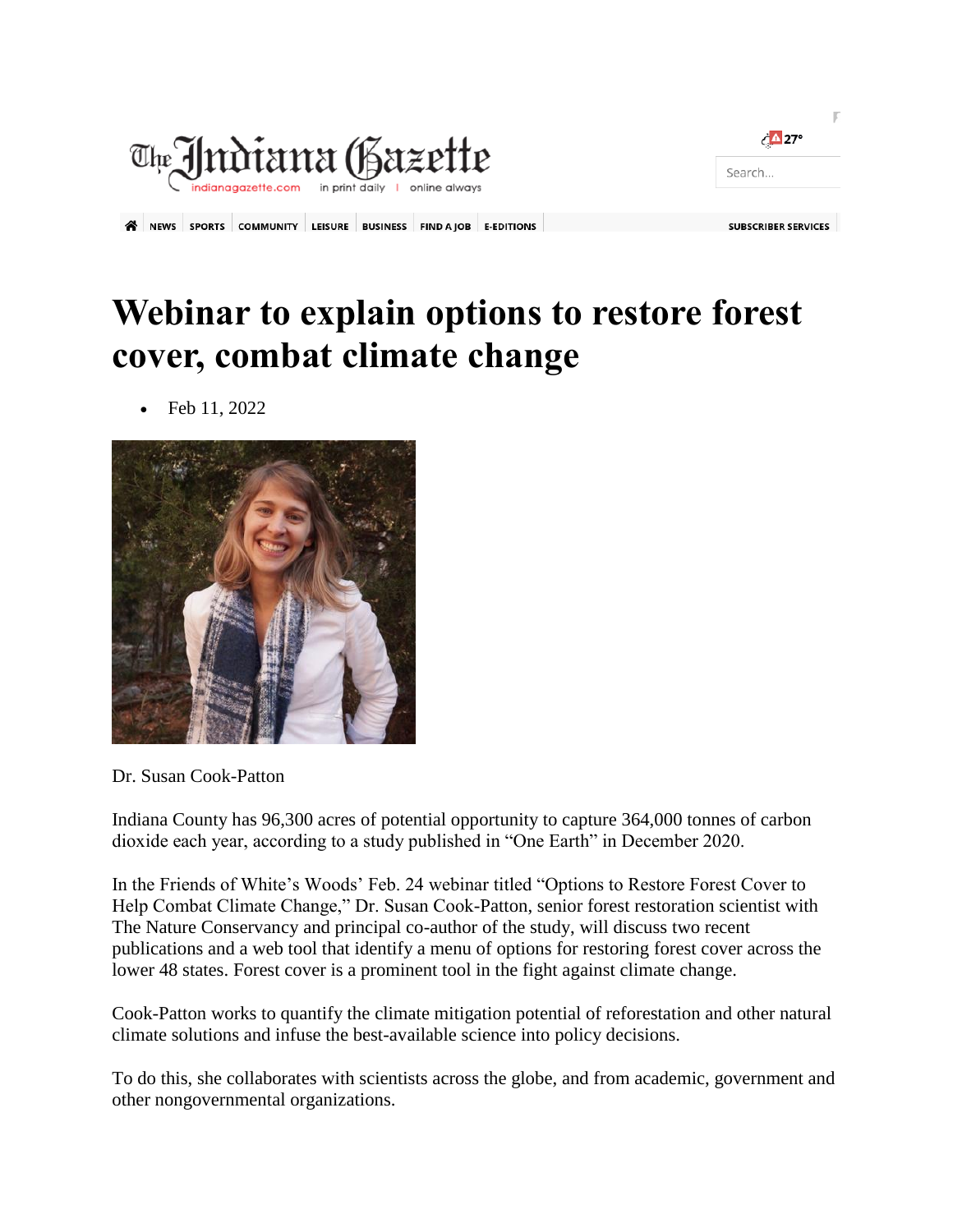

| $\left\langle \Delta 27^\circ \right\rangle$ |  |
|----------------------------------------------|--|
| Search                                       |  |
|                                              |  |

SUBSCRIBER SERVICES

A NEWS SPORTS COMMUNITY LEISURE BUSINESS FIND A JOB E-EDITIONS

## **Webinar to explain options to restore forest cover, combat climate change**



Feb 11, 2022

Dr. Susan Cook-Patton

Indiana County has 96,300 acres of potential opportunity to capture 364,000 tonnes of carbon dioxide each year, according to a study published in "One Earth" in December 2020.

In the Friends of White's Woods' Feb. 24 webinar titled "Options to Restore Forest Cover to Help Combat Climate Change," Dr. Susan Cook-Patton, senior forest restoration scientist with The Nature Conservancy and principal co-author of the study, will discuss two recent publications and a web tool that identify a menu of options for restoring forest cover across the lower 48 states. Forest cover is a prominent tool in the fight against climate change.

Cook-Patton works to quantify the climate mitigation potential of reforestation and other natural climate solutions and infuse the best-available science into policy decisions.

To do this, she collaborates with scientists across the globe, and from academic, government and other nongovernmental organizations.